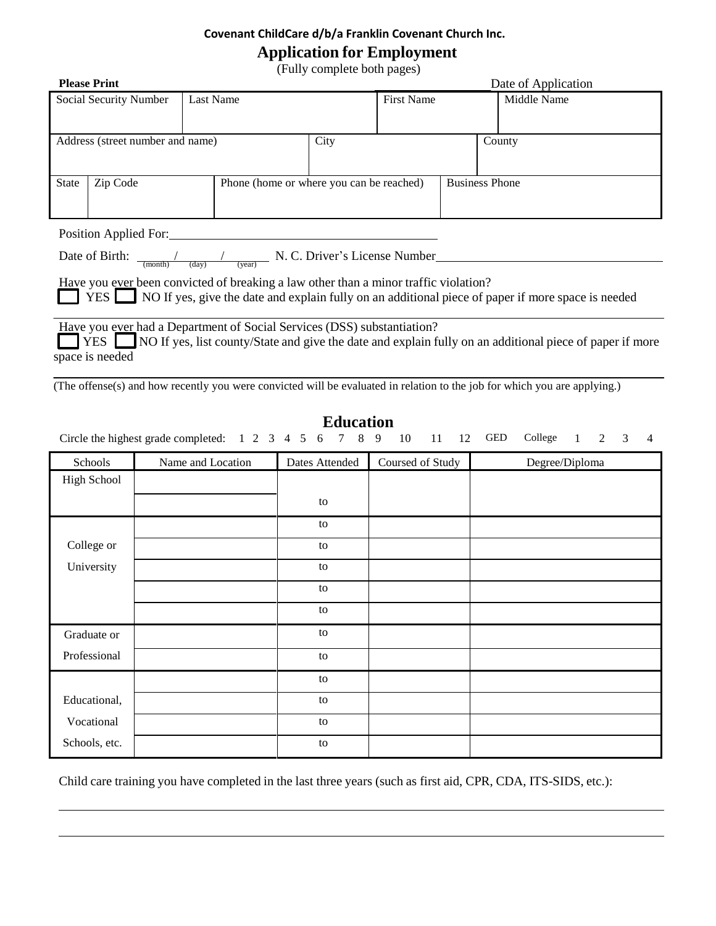## **Covenant ChildCare d/b/a Franklin Covenant Church Inc.**

## **Application for Employment**

(Fully complete both pages)

| $(1 \text{ cm})$ comprete both pages)                                                                             |           |                     |                                          |                   |  |                       |  |
|-------------------------------------------------------------------------------------------------------------------|-----------|---------------------|------------------------------------------|-------------------|--|-----------------------|--|
| <b>Please Print</b>                                                                                               |           | Date of Application |                                          |                   |  |                       |  |
| Social Security Number                                                                                            | Last Name |                     |                                          | <b>First Name</b> |  | Middle Name           |  |
|                                                                                                                   |           |                     |                                          |                   |  |                       |  |
| Address (street number and name)                                                                                  |           |                     | City                                     |                   |  | County                |  |
|                                                                                                                   |           |                     |                                          |                   |  |                       |  |
|                                                                                                                   |           |                     |                                          |                   |  |                       |  |
| <b>State</b>                                                                                                      | Zip Code  |                     | Phone (home or where you can be reached) |                   |  | <b>Business Phone</b> |  |
|                                                                                                                   |           |                     |                                          |                   |  |                       |  |
|                                                                                                                   |           |                     |                                          |                   |  |                       |  |
| Position Applied For:                                                                                             |           |                     |                                          |                   |  |                       |  |
| Date of Birth:<br>N. C. Driver's License Number<br>$\frac{1}{(\text{month}) + (\text{day})}$                      |           |                     |                                          |                   |  |                       |  |
|                                                                                                                   |           | (year)              |                                          |                   |  |                       |  |
| Have you ever been convicted of breaking a law other than a minor traffic violation?                              |           |                     |                                          |                   |  |                       |  |
| YES NO If yes, give the date and explain fully on an additional piece of paper if more space is needed            |           |                     |                                          |                   |  |                       |  |
|                                                                                                                   |           |                     |                                          |                   |  |                       |  |
| Have you ever had a Department of Social Services (DSS) substantiation?                                           |           |                     |                                          |                   |  |                       |  |
| YES L<br>NO If yes, list county/State and give the date and explain fully on an additional piece of paper if more |           |                     |                                          |                   |  |                       |  |

space is needed

(The offense(s) and how recently you were convicted will be evaluated in relation to the job for which you are applying.)

| <b>Education</b>                                                                                               |                   |                |                  |                |  |  |  |  |  |
|----------------------------------------------------------------------------------------------------------------|-------------------|----------------|------------------|----------------|--|--|--|--|--|
| Circle the highest grade completed: 1 2 3 4 5 6 7 8 9<br>College 1 2 3<br>GED<br>10<br>11 12<br>$\overline{4}$ |                   |                |                  |                |  |  |  |  |  |
| Schools                                                                                                        | Name and Location | Dates Attended | Coursed of Study | Degree/Diploma |  |  |  |  |  |
| High School                                                                                                    |                   |                |                  |                |  |  |  |  |  |
|                                                                                                                |                   | to             |                  |                |  |  |  |  |  |
|                                                                                                                |                   | to             |                  |                |  |  |  |  |  |
| College or                                                                                                     |                   | to             |                  |                |  |  |  |  |  |
| University                                                                                                     |                   | to             |                  |                |  |  |  |  |  |
|                                                                                                                |                   | to             |                  |                |  |  |  |  |  |
|                                                                                                                |                   | to             |                  |                |  |  |  |  |  |
| Graduate or                                                                                                    |                   | to             |                  |                |  |  |  |  |  |
| Professional                                                                                                   |                   | to             |                  |                |  |  |  |  |  |
|                                                                                                                |                   | to             |                  |                |  |  |  |  |  |
| Educational,                                                                                                   |                   | to             |                  |                |  |  |  |  |  |
| Vocational                                                                                                     |                   | to             |                  |                |  |  |  |  |  |
| Schools, etc.                                                                                                  |                   | to             |                  |                |  |  |  |  |  |
|                                                                                                                |                   |                |                  |                |  |  |  |  |  |

Child care training you have completed in the last three years (such as first aid, CPR, CDA, ITS-SIDS, etc.):